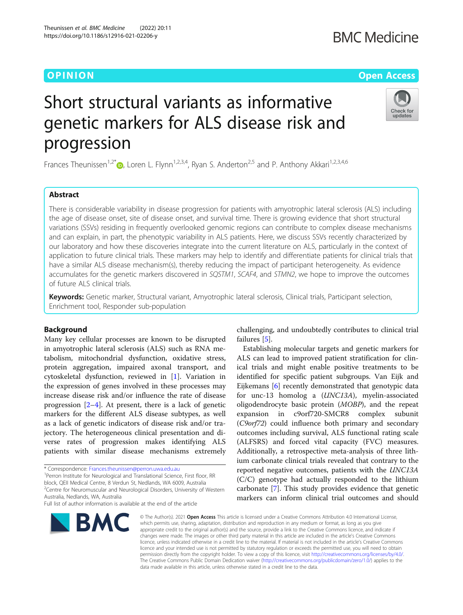# Short structural variants as informative genetic markers for ALS disease risk and progression

Frances Theunissen<sup>1[,](http://orcid.org/0000-0002-7092-8344)2\*</sup>  $\bullet$ , Loren L. Flynn<sup>1,2,3,4</sup>, Ryan S. Anderton<sup>2,5</sup> and P. Anthony Akkari<sup>1,2,3,4,6</sup>

## Abstract

There is considerable variability in disease progression for patients with amyotrophic lateral sclerosis (ALS) including the age of disease onset, site of disease onset, and survival time. There is growing evidence that short structural variations (SSVs) residing in frequently overlooked genomic regions can contribute to complex disease mechanisms and can explain, in part, the phenotypic variability in ALS patients. Here, we discuss SSVs recently characterized by our laboratory and how these discoveries integrate into the current literature on ALS, particularly in the context of application to future clinical trials. These markers may help to identify and differentiate patients for clinical trials that have a similar ALS disease mechanism(s), thereby reducing the impact of participant heterogeneity. As evidence accumulates for the genetic markers discovered in SQSTM1, SCAF4, and STMN2, we hope to improve the outcomes of future ALS clinical trials.

Keywords: Genetic marker, Structural variant, Amyotrophic lateral sclerosis, Clinical trials, Participant selection, Enrichment tool, Responder sub-population

## Background

Many key cellular processes are known to be disrupted in amyotrophic lateral sclerosis (ALS) such as RNA metabolism, mitochondrial dysfunction, oxidative stress, protein aggregation, impaired axonal transport, and cytoskeletal dysfunction, reviewed in [\[1](#page-4-0)]. Variation in the expression of genes involved in these processes may increase disease risk and/or influence the rate of disease progression  $[2-4]$  $[2-4]$  $[2-4]$ . At present, there is a lack of genetic markers for the different ALS disease subtypes, as well as a lack of genetic indicators of disease risk and/or trajectory. The heterogeneous clinical presentation and diverse rates of progression makes identifying ALS patients with similar disease mechanisms extremely

\* Correspondence: [Frances.theunissen@perron.uwa.edu.au](mailto:Frances.theunissen@perron.uwa.edu.au) <sup>1</sup>

**BMC** 

<sup>1</sup> Perron Institute for Neurological and Translational Science, First floor, RR block, QEII Medical Centre, 8 Verdun St, Nedlands, WA 6009, Australia <sup>2</sup> Centre for Neuromuscular and Neurological Disorders, University of Western

Australia, Nedlands, WA, Australia

failures [\[5](#page-4-0)]. Establishing molecular targets and genetic markers for ALS can lead to improved patient stratification for clin-

challenging, and undoubtedly contributes to clinical trial

ical trials and might enable positive treatments to be identified for specific patient subgroups. Van Eijk and Eijkemans [[6\]](#page-5-0) recently demonstrated that genotypic data for unc-13 homolog a (UNC13A), myelin-associated oligodendrocyte basic protein (MOBP), and the repeat expansion in c9orf720-SMCR8 complex subunit (C9orf72) could influence both primary and secondary outcomes including survival, ALS functional rating scale (ALFSRS) and forced vital capacity (FVC) measures. Additionally, a retrospective meta-analysis of three lithium carbonate clinical trials revealed that contrary to the reported negative outcomes, patients with the UNC13A (C/C) genotype had actually responded to the lithium carbonate [[7\]](#page-5-0). This study provides evidence that genetic markers can inform clinical trial outcomes and should

© The Author(s). 2021 Open Access This article is licensed under a Creative Commons Attribution 4.0 International License, which permits use, sharing, adaptation, distribution and reproduction in any medium or format, as long as you give appropriate credit to the original author(s) and the source, provide a link to the Creative Commons licence, and indicate if changes were made. The images or other third party material in this article are included in the article's Creative Commons licence, unless indicated otherwise in a credit line to the material. If material is not included in the article's Creative Commons licence and your intended use is not permitted by statutory regulation or exceeds the permitted use, you will need to obtain permission directly from the copyright holder. To view a copy of this licence, visit [http://creativecommons.org/licenses/by/4.0/.](http://creativecommons.org/licenses/by/4.0/) The Creative Commons Public Domain Dedication waiver [\(http://creativecommons.org/publicdomain/zero/1.0/](http://creativecommons.org/publicdomain/zero/1.0/)) applies to the data made available in this article, unless otherwise stated in a credit line to the data.







## O PINION Open Access

Full list of author information is available at the end of the article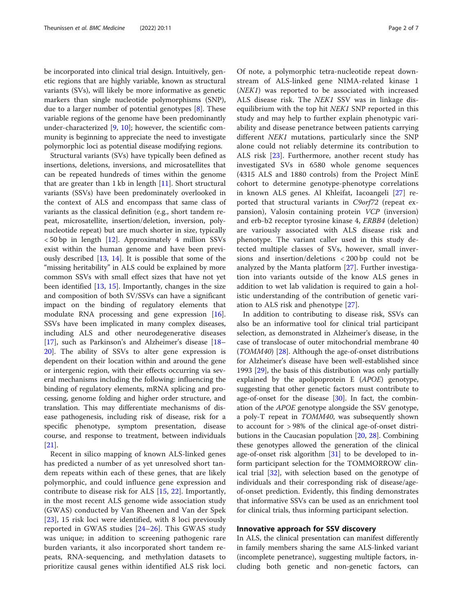be incorporated into clinical trial design. Intuitively, genetic regions that are highly variable, known as structural variants (SVs), will likely be more informative as genetic markers than single nucleotide polymorphisms (SNP), due to a larger number of potential genotypes [[8\]](#page-5-0). These variable regions of the genome have been predominantly under-characterized [\[9](#page-5-0), [10](#page-5-0)]; however, the scientific community is beginning to appreciate the need to investigate polymorphic loci as potential disease modifying regions.

Structural variants (SVs) have typically been defined as insertions, deletions, inversions, and microsatellites that can be repeated hundreds of times within the genome that are greater than  $1 \text{ kb}$  in length  $[11]$  $[11]$ . Short structural variants (SSVs) have been predominately overlooked in the context of ALS and encompass that same class of variants as the classical definition (e.g., short tandem repeat, microsatellite, insertion/deletion, inversion, polynucleotide repeat) but are much shorter in size, typically < 50 bp in length [[12\]](#page-5-0). Approximately 4 million SSVs exist within the human genome and have been previously described [[13,](#page-5-0) [14\]](#page-5-0). It is possible that some of the "missing heritability" in ALS could be explained by more common SSVs with small effect sizes that have not yet been identified [\[13](#page-5-0), [15](#page-5-0)]. Importantly, changes in the size and composition of both SV/SSVs can have a significant impact on the binding of regulatory elements that modulate RNA processing and gene expression [\[16](#page-5-0)]. SSVs have been implicated in many complex diseases, including ALS and other neurodegenerative diseases [[17\]](#page-5-0), such as Parkinson's and Alzheimer's disease [[18](#page-5-0)– [20\]](#page-5-0). The ability of SSVs to alter gene expression is dependent on their location within and around the gene or intergenic region, with their effects occurring via several mechanisms including the following: influencing the binding of regulatory elements, mRNA splicing and processing, genome folding and higher order structure, and translation. This may differentiate mechanisms of disease pathogenesis, including risk of disease, risk for a specific phenotype, symptom presentation, disease course, and response to treatment, between individuals [[21\]](#page-5-0).

Recent in silico mapping of known ALS-linked genes has predicted a number of as yet unresolved short tandem repeats within each of these genes, that are likely polymorphic, and could influence gene expression and contribute to disease risk for ALS [[15,](#page-5-0) [22](#page-5-0)]. Importantly, in the most recent ALS genome wide association study (GWAS) conducted by Van Rheenen and Van der Spek [[23\]](#page-5-0), 15 risk loci were identified, with 8 loci previously reported in GWAS studies [\[24](#page-5-0)–[26](#page-5-0)]. This GWAS study was unique; in addition to screening pathogenic rare burden variants, it also incorporated short tandem repeats, RNA-sequencing, and methylation datasets to prioritize causal genes within identified ALS risk loci.

Of note, a polymorphic tetra-nucleotide repeat downstream of ALS-linked gene NIMA-related kinase 1 (NEK1) was reported to be associated with increased ALS disease risk. The NEK1 SSV was in linkage disequilibrium with the top hit NEK1 SNP reported in this study and may help to further explain phenotypic variability and disease penetrance between patients carrying different *NEK1* mutations, particularly since the SNP alone could not reliably determine its contribution to ALS risk [\[23](#page-5-0)]. Furthermore, another recent study has investigated SVs in 6580 whole genome sequences (4315 ALS and 1880 controls) from the Project MinE cohort to determine genotype-phenotype correlations in known ALS genes. Al Khleifat, Iacoangeli [[27\]](#page-5-0) reported that structural variants in C9orf72 (repeat expansion), Valosin containing protein VCP (inversion) and erb-b2 receptor tyrosine kinase 4, ERBB4 (deletion) are variously associated with ALS disease risk and phenotype. The variant caller used in this study detected multiple classes of SVs, however, small inversions and insertion/deletions < 200 bp could not be analyzed by the Manta platform [\[27](#page-5-0)]. Further investigation into variants outside of the know ALS genes in addition to wet lab validation is required to gain a holistic understanding of the contribution of genetic variation to ALS risk and phenotype [[27](#page-5-0)].

In addition to contributing to disease risk, SSVs can also be an informative tool for clinical trial participant selection, as demonstrated in Alzheimer's disease, in the case of translocase of outer mitochondrial membrane 40  $(TOMM40)$  [\[28](#page-5-0)]. Although the age-of-onset distributions for Alzheimer's disease have been well-established since 1993 [[29](#page-5-0)], the basis of this distribution was only partially explained by the apolipoprotein E (APOE) genotype, suggesting that other genetic factors must contribute to age-of-onset for the disease [\[30\]](#page-5-0). In fact, the combination of the APOE genotype alongside the SSV genotype, a poly-T repeat in TOMM40, was subsequently shown to account for > 98% of the clinical age-of-onset distributions in the Caucasian population [[20,](#page-5-0) [28](#page-5-0)]. Combining these genotypes allowed the generation of the clinical age-of-onset risk algorithm [[31\]](#page-5-0) to be developed to inform participant selection for the TOMMORROW clinical trial [\[32\]](#page-5-0), with selection based on the genotype of individuals and their corresponding risk of disease/ageof-onset prediction. Evidently, this finding demonstrates that informative SSVs can be used as an enrichment tool for clinical trials, thus informing participant selection.

## Innovative approach for SSV discovery

In ALS, the clinical presentation can manifest differently in family members sharing the same ALS-linked variant (incomplete penetrance), suggesting multiple factors, including both genetic and non-genetic factors, can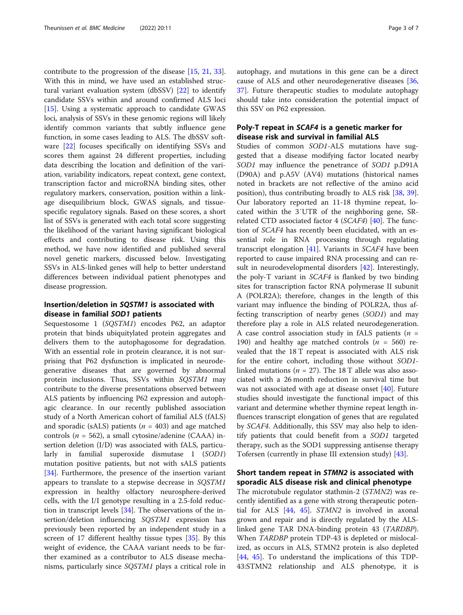contribute to the progression of the disease [[15](#page-5-0), [21,](#page-5-0) [33](#page-5-0)]. With this in mind, we have used an established structural variant evaluation system (dbSSV) [[22](#page-5-0)] to identify candidate SSVs within and around confirmed ALS loci [[15\]](#page-5-0). Using a systematic approach to candidate GWAS loci, analysis of SSVs in these genomic regions will likely identify common variants that subtly influence gene function, in some cases leading to ALS. The dbSSV software [\[22](#page-5-0)] focuses specifically on identifying SSVs and scores them against 24 different properties, including data describing the location and definition of the variation, variability indicators, repeat context, gene context, transcription factor and microRNA binding sites, other regulatory markers, conservation, position within a linkage disequilibrium block, GWAS signals, and tissuespecific regulatory signals. Based on these scores, a short list of SSVs is generated with each total score suggesting the likelihood of the variant having significant biological effects and contributing to disease risk. Using this method, we have now identified and published several novel genetic markers, discussed below. Investigating SSVs in ALS-linked genes will help to better understand differences between individual patient phenotypes and disease progression.

## Insertion/deletion in SQSTM1 is associated with disease in familial SOD1 patients

Sequestosome 1 (SQSTM1) encodes P62, an adaptor protein that binds ubiquitylated protein aggregates and delivers them to the autophagosome for degradation. With an essential role in protein clearance, it is not surprising that P62 dysfunction is implicated in neurodegenerative diseases that are governed by abnormal protein inclusions. Thus, SSVs within SQSTM1 may contribute to the diverse presentations observed between ALS patients by influencing P62 expression and autophagic clearance. In our recently published association study of a North American cohort of familial ALS (fALS) and sporadic (sALS) patients ( $n = 403$ ) and age matched controls ( $n = 562$ ), a small cytosine/adenine (CAAA) insertion deletion (I/D) was associated with fALS, particularly in familial superoxide dismutase 1 (SOD1) mutation positive patients, but not with sALS patients [[34\]](#page-5-0). Furthermore, the presence of the insertion variant appears to translate to a stepwise decrease in SQSTM1 expression in healthy olfactory neurosphere-derived cells, with the I/I genotype resulting in a 2.5-fold reduction in transcript levels [\[34\]](#page-5-0). The observations of the insertion/deletion influencing SQSTM1 expression has previously been reported by an independent study in a screen of 17 different healthy tissue types [[35\]](#page-5-0). By this weight of evidence, the CAAA variant needs to be further examined as a contributor to ALS disease mechanisms, particularly since SQSTM1 plays a critical role in autophagy, and mutations in this gene can be a direct cause of ALS and other neurodegenerative diseases [[36](#page-5-0), [37\]](#page-5-0). Future therapeutic studies to modulate autophagy should take into consideration the potential impact of this SSV on P62 expression.

## Poly-T repeat in SCAF4 is a genetic marker for disease risk and survival in familial ALS

Studies of common SOD1-ALS mutations have suggested that a disease modifying factor located nearby SOD1 may influence the penetrance of SOD1 p.D91A (D90A) and p.A5V (AV4) mutations (historical names noted in brackets are not reflective of the amino acid position), thus contributing broadly to ALS risk [\[38](#page-5-0), [39](#page-5-0)]. Our laboratory reported an 11-18 thymine repeat, located within the 3′UTR of the neighboring gene, SRrelated CTD associated factor  $4 (SCAF4)$  [\[40](#page-5-0)]. The function of SCAF4 has recently been elucidated, with an essential role in RNA processing through regulating transcript elongation  $[41]$  $[41]$ . Variants in *SCAF4* have been reported to cause impaired RNA processing and can re-sult in neurodevelopmental disorders [[42](#page-5-0)]. Interestingly, the poly-T variant in SCAF4 is flanked by two binding sites for transcription factor RNA polymerase II subunit A (POLR2A); therefore, changes in the length of this variant may influence the binding of POLR2A, thus affecting transcription of nearby genes (SOD1) and may therefore play a role in ALS related neurodegeneration. A case control association study in fALS patients ( $n =$ 190) and healthy age matched controls  $(n = 560)$  revealed that the 18 T repeat is associated with ALS risk for the entire cohort, including those without SOD1 linked mutations ( $n = 27$ ). The 18 T allele was also associated with a 26 month reduction in survival time but was not associated with age at disease onset [\[40](#page-5-0)]. Future studies should investigate the functional impact of this variant and determine whether thymine repeat length influences transcript elongation of genes that are regulated by SCAF4. Additionally, this SSV may also help to identify patients that could benefit from a SOD1 targeted therapy, such as the SOD1 suppressing antisense therapy Tofersen (currently in phase III extension study) [[43\]](#page-5-0).

## Short tandem repeat in STMN2 is associated with sporadic ALS disease risk and clinical phenotype

The microtubule regulator stathmin-2 (STMN2) was recently identified as a gene with strong therapeutic potential for ALS  $[44, 45]$  $[44, 45]$  $[44, 45]$  $[44, 45]$ .  $STMN2$  is involved in axonal grown and repair and is directly regulated by the ALSlinked gene TAR DNA-binding protein 43 (TARDBP). When TARDBP protein TDP-43 is depleted or mislocalized, as occurs in ALS, STMN2 protein is also depleted [[44,](#page-5-0) [45](#page-5-0)]. To understand the implications of this TDP-43:STMN2 relationship and ALS phenotype, it is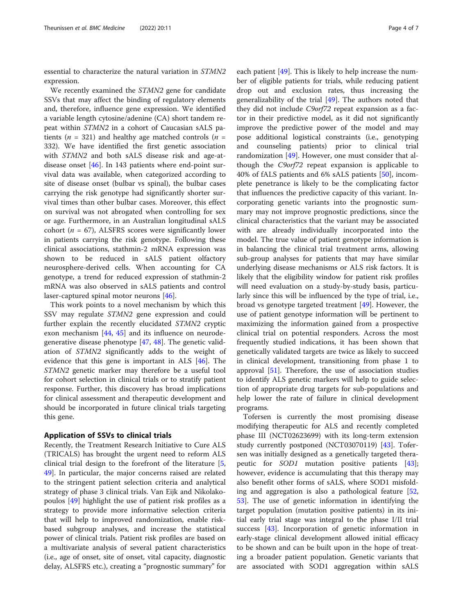essential to characterize the natural variation in STMN2 expression.

We recently examined the STMN2 gene for candidate SSVs that may affect the binding of regulatory elements and, therefore, influence gene expression. We identified a variable length cytosine/adenine (CA) short tandem repeat within STMN2 in a cohort of Caucasian sALS patients ( $n = 321$ ) and healthy age matched controls ( $n =$ 332). We have identified the first genetic association with STMN2 and both sALS disease risk and age-atdisease onset [\[46](#page-6-0)]. In 143 patients where end-point survival data was available, when categorized according to site of disease onset (bulbar vs spinal), the bulbar cases carrying the risk genotype had significantly shorter survival times than other bulbar cases. Moreover, this effect on survival was not abrogated when controlling for sex or age. Furthermore, in an Australian longitudinal sALS cohort ( $n = 67$ ), ALSFRS scores were significantly lower in patients carrying the risk genotype. Following these clinical associations, stathmin-2 mRNA expression was shown to be reduced in sALS patient olfactory neurosphere-derived cells. When accounting for CA genotype, a trend for reduced expression of stathmin-2 mRNA was also observed in sALS patients and control laser-captured spinal motor neurons [\[46\]](#page-6-0).

This work points to a novel mechanism by which this SSV may regulate STMN2 gene expression and could further explain the recently elucidated STMN2 cryptic exon mechanism [[44](#page-5-0), [45](#page-5-0)] and its influence on neurodegenerative disease phenotype [\[47](#page-6-0), [48](#page-6-0)]. The genetic validation of STMN2 significantly adds to the weight of evidence that this gene is important in ALS [[46](#page-6-0)]. The STMN2 genetic marker may therefore be a useful tool for cohort selection in clinical trials or to stratify patient response. Further, this discovery has broad implications for clinical assessment and therapeutic development and should be incorporated in future clinical trials targeting this gene.

### Application of SSVs to clinical trials

Recently, the Treatment Research Initiative to Cure ALS (TRICALS) has brought the urgent need to reform ALS clinical trial design to the forefront of the literature [\[5](#page-4-0), [49\]](#page-6-0). In particular, the major concerns raised are related to the stringent patient selection criteria and analytical strategy of phase 3 clinical trials. Van Eijk and Nikolakopoulos [\[49](#page-6-0)] highlight the use of patient risk profiles as a strategy to provide more informative selection criteria that will help to improved randomization, enable riskbased subgroup analyses, and increase the statistical power of clinical trials. Patient risk profiles are based on a multivariate analysis of several patient characteristics (i.e., age of onset, site of onset, vital capacity, diagnostic delay, ALSFRS etc.), creating a "prognostic summary" for each patient [\[49](#page-6-0)]. This is likely to help increase the number of eligible patients for trials, while reducing patient drop out and exclusion rates, thus increasing the generalizability of the trial  $[49]$  $[49]$  $[49]$ . The authors noted that they did not include C9orf72 repeat expansion as a factor in their predictive model, as it did not significantly improve the predictive power of the model and may pose additional logistical constraints (i.e., genotyping and counseling patients) prior to clinical trial randomization [\[49](#page-6-0)]. However, one must consider that although the C9orf72 repeat expansion is applicable to 40% of fALS patients and 6% sALS patients [[50\]](#page-6-0), incomplete penetrance is likely to be the complicating factor that influences the predictive capacity of this variant. Incorporating genetic variants into the prognostic summary may not improve prognostic predictions, since the clinical characteristics that the variant may be associated with are already individually incorporated into the model. The true value of patient genotype information is in balancing the clinical trial treatment arms, allowing sub-group analyses for patients that may have similar underlying disease mechanisms or ALS risk factors. It is likely that the eligibility window for patient risk profiles will need evaluation on a study-by-study basis, particularly since this will be influenced by the type of trial, i.e., broad vs genotype targeted treatment [[49](#page-6-0)]. However, the use of patient genotype information will be pertinent to maximizing the information gained from a prospective clinical trial on potential responders. Across the most frequently studied indications, it has been shown that genetically validated targets are twice as likely to succeed in clinical development, transitioning from phase 1 to approval  $[51]$  $[51]$ . Therefore, the use of association studies to identify ALS genetic markers will help to guide selection of appropriate drug targets for sub-populations and help lower the rate of failure in clinical development programs.

Tofersen is currently the most promising disease modifying therapeutic for ALS and recently completed phase III (NCT02623699) with its long-term extension study currently postponed (NCT03070119) [[43\]](#page-5-0). Tofersen was initially designed as a genetically targeted therapeutic for SOD1 mutation positive patients [\[43](#page-5-0)]; however, evidence is accumulating that this therapy may also benefit other forms of sALS, where SOD1 misfolding and aggregation is also a pathological feature [[52](#page-6-0), [53\]](#page-6-0). The use of genetic information in identifying the target population (mutation positive patients) in its initial early trial stage was integral to the phase I/II trial success [[43\]](#page-5-0). Incorporation of genetic information in early-stage clinical development allowed initial efficacy to be shown and can be built upon in the hope of treating a broader patient population. Genetic variants that are associated with SOD1 aggregation within sALS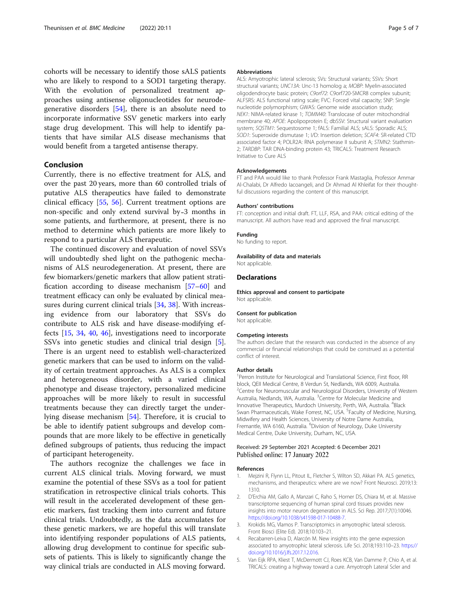<span id="page-4-0"></span>cohorts will be necessary to identify those sALS patients who are likely to respond to a SOD1 targeting therapy. With the evolution of personalized treatment approaches using antisense oligonucleotides for neurodegenerative disorders [\[54](#page-6-0)], there is an absolute need to incorporate informative SSV genetic markers into early stage drug development. This will help to identify patients that have similar ALS disease mechanisms that would benefit from a targeted antisense therapy.

## Conclusion

Currently, there is no effective treatment for ALS, and over the past 20 years, more than 60 controlled trials of putative ALS therapeutics have failed to demonstrate clinical efficacy [\[55](#page-6-0), [56](#page-6-0)]. Current treatment options are non-specific and only extend survival by-3 months in some patients, and furthermore, at present, there is no method to determine which patients are more likely to respond to a particular ALS therapeutic.

The continued discovery and evaluation of novel SSVs will undoubtedly shed light on the pathogenic mechanisms of ALS neurodegeneration. At present, there are few biomarkers/genetic markers that allow patient stratification according to disease mechanism [\[57](#page-6-0)–[60\]](#page-6-0) and treatment efficacy can only be evaluated by clinical mea-sures during current clinical trials [\[34](#page-5-0), [38](#page-5-0)]. With increasing evidence from our laboratory that SSVs do contribute to ALS risk and have disease-modifying effects [\[15](#page-5-0), [34,](#page-5-0) [40,](#page-5-0) [46\]](#page-6-0), investigations need to incorporate SSVs into genetic studies and clinical trial design [5]. There is an urgent need to establish well-characterized genetic markers that can be used to inform on the validity of certain treatment approaches. As ALS is a complex and heterogeneous disorder, with a varied clinical phenotype and disease trajectory, personalized medicine approaches will be more likely to result in successful treatments because they can directly target the underlying disease mechanism [\[54\]](#page-6-0). Therefore, it is crucial to be able to identify patient subgroups and develop compounds that are more likely to be effective in genetically defined subgroups of patients, thus reducing the impact of participant heterogeneity.

The authors recognize the challenges we face in current ALS clinical trials. Moving forward, we must examine the potential of these SSVs as a tool for patient stratification in retrospective clinical trials cohorts. This will result in the accelerated development of these genetic markers, fast tracking them into current and future clinical trials. Undoubtedly, as the data accumulates for these genetic markers, we are hopeful this will translate into identifying responder populations of ALS patients, allowing drug development to continue for specific subsets of patients. This is likely to significantly change the way clinical trials are conducted in ALS moving forward.

#### Abbreviations

ALS: Amyotrophic lateral sclerosis; SVs: Structural variants; SSVs: Short structural variants; UNC13A: Unc-13 homolog a; MOBP: Myelin-associated oligodendrocyte basic protein; C9orf72: C9orf720-SMCR8 complex subunit; ALFSRS: ALS functional rating scale; FVC: Forced vital capacity; SNP: Single nucleotide polymorphism; GWAS: Genome wide association study; NEK1: NIMA-related kinase 1; TOMM40: Translocase of outer mitochondrial membrane 40; APOE: Apolipoprotein E; dbSSV: Structural variant evaluation system; SQSTM1: Sequestosome 1; fALS: Familial ALS; sALS: Sporadic ALS; SOD1: Superoxide dismutase 1; I/D: Insertion deletion; SCAF4: SR-related CTD associated factor 4; POLR2A: RNA polymerase II subunit A; STMN2: Stathmin-2; TARDBP: TAR DNA-binding protein 43; TRICALS: Treatment Research Initiative to Cure ALS

#### Acknowledgements

FT and PAA would like to thank Professor Frank Mastaglia, Professor Ammar Al-Chalabi, Dr Alfredo Iacoangeli, and Dr Ahmad Al Khleifat for their thoughtful discussions regarding the content of this manuscript.

#### Authors' contributions

FT: conception and initial draft. FT, LLF, RSA, and PAA: critical editing of the manuscript. All authors have read and approved the final manuscript.

#### Funding

No funding to report.

Availability of data and materials

## Not applicable. **Declarations**

Ethics approval and consent to participate Not applicable.

#### Consent for publication

Not applicable.

#### Competing interests

The authors declare that the research was conducted in the absence of any commercial or financial relationships that could be construed as a potential conflict of interest.

#### Author details

<sup>1</sup>Perron Institute for Neurological and Translational Science, First floor, RR block, QEII Medical Centre, 8 Verdun St, Nedlands, WA 6009, Australia. <sup>2</sup> Centre for Neuromuscular and Neurological Disorders, University of Western Australia, Nedlands, WA, Australia. <sup>3</sup>Centre for Molecular Medicine and Innovative Therapeutics, Murdoch University, Perth, WA, Australia. <sup>4</sup>Black Swan Pharmaceuticals, Wake Forrest, NC, USA. <sup>5</sup>Faculty of Medicine, Nursing Midwifery and Health Sciences, University of Notre Dame Australia, Fremantle, WA 6160, Australia. <sup>6</sup>Division of Neurology, Duke University Medical Centre, Duke University, Durham, NC, USA.

#### Received: 29 September 2021 Accepted: 6 December 2021 Published online: 17 January 2022

#### References

- 1. Mejzini R, Flynn LL, Pitout IL, Fletcher S, Wilton SD, Akkari PA. ALS genetics, mechanisms, and therapeutics: where are we now? Front Neurosci. 2019;13: 1310.
- 2. D'Erchia AM, Gallo A, Manzari C, Raho S, Horner DS, Chiara M, et al. Massive transcriptome sequencing of human spinal cord tissues provides new insights into motor neuron degeneration in ALS. Sci Rep. 2017;7(1):10046. [https://doi.org/10.1038/s41598-017-10488-7.](https://doi.org/10.1038/s41598-017-10488-7)
- 3. Krokidis MG, Vlamos P. Transcriptomics in amyotrophic lateral sclerosis. Front Biosci (Elite Ed). 2018;10:103–21.
- 4. Recabarren-Leiva D, Alarcón M. New insights into the gene expression associated to amyotrophic lateral sclerosis. Life Sci. 2018;193:110–23. [https://](https://doi.org/10.1016/j.lfs.2017.12.016) [doi.org/10.1016/j.lfs.2017.12.016](https://doi.org/10.1016/j.lfs.2017.12.016).
- 5. Van Eijk RPA, Kliest T, McDermott CJ, Roes KCB, Van Damme P, Chio A, et al. TRICALS: creating a highway toward a cure. Amyotroph Lateral Scler and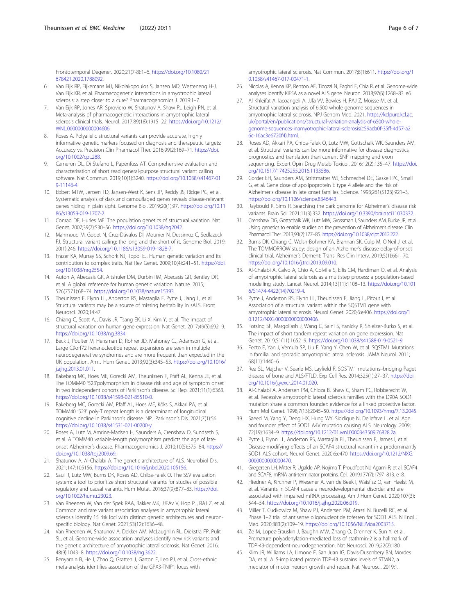<span id="page-5-0"></span>Frontotemporal Degener. 2020;21(7-8):1–6. [https://doi.org/10.1080/21](https://doi.org/10.1080/21678421.2020.1788092) [678421.2020.1788092](https://doi.org/10.1080/21678421.2020.1788092).

- 6. Van Eijk RP, Eijkemans MJ, Nikolakopoulos S, Jansen MD, Westeneng H-J, Van Eijk KR, et al. Pharmacogenetic interactions in amyotrophic lateral sclerosis: a step closer to a cure? Pharmacogenomics J. 2019:1–7.
- 7. Van Eijk RP, Jones AR, Sproviero W, Shatunov A, Shaw PJ, Leigh PN, et al. Meta-analysis of pharmacogenetic interactions in amyotrophic lateral sclerosis clinical trials. Neurol. 2017;89(18):1915–22. [https://doi.org/10.1212/](https://doi.org/10.1212/WNL.0000000000004606) [WNL.0000000000004606.](https://doi.org/10.1212/WNL.0000000000004606)
- 8. Roses A. Polyallelic structural variants can provide accurate, highly informative genetic markers focused on diagnosis and therapeutic targets: Accuracy vs. Precision Clin Pharmacol Ther. 2016;99(2):169–71. [https://doi.](https://doi.org/10.1002/cpt.288) [org/10.1002/cpt.288.](https://doi.org/10.1002/cpt.288)
- 9. Cameron DL, Di Stefano L, Papenfuss AT. Comprehensive evaluation and characterisation of short read general-purpose structural variant calling software. Nat Commun. 2019;10(1):3240. [https://doi.org/10.1038/s41467-01](https://doi.org/10.1038/s41467-019-11146-4) [9-11146-4.](https://doi.org/10.1038/s41467-019-11146-4)
- 10. Ebbert MTW, Jensen TD, Jansen-West K, Sens JP, Reddy JS, Ridge PG, et al. Systematic analysis of dark and camouflaged genes reveals disease-relevant genes hiding in plain sight. Genome Biol. 2019;20(1):97. [https://doi.org/10.11](https://doi.org/10.1186/s13059-019-1707-2) [86/s13059-019-1707-2](https://doi.org/10.1186/s13059-019-1707-2).
- 11. Conrad DF, Hurles ME. The population genetics of structural variation. Nat Genet. 2007;39(7):S30–S6. <https://doi.org/10.1038/ng2042>.
- 12. Mahmoud M, Gobet N, Cruz-Dávalos DI, Mounier N, Dessimoz C, Sedlazeck FJ. Structural variant calling: the long and the short of it. Genome Biol. 2019; 20(1):246. [https://doi.org/10.1186/s13059-019-1828-7.](https://doi.org/10.1186/s13059-019-1828-7)
- 13. Frazer KA, Murray SS, Schork NJ, Topol EJ. Human genetic variation and its contribution to complex traits. Nat Rev Genet. 2009;10(4):241–51. [https://doi.](https://doi.org/10.1038/nrg2554) [org/10.1038/nrg2554](https://doi.org/10.1038/nrg2554).
- 14. Auton A, Abecasis GR, Altshuler DM, Durbin RM, Abecasis GR, Bentley DR, et al. A global reference for human genetic variation. Nature. 2015; 526(7571):68–74. [https://doi.org/10.1038/nature15393.](https://doi.org/10.1038/nature15393)
- 15. Theunissen F, Flynn LL, Anderton RS, Mastaglia F, Pytte J, Jiang L, et al. Structural variants may be a source of missing heritability in sALS. Front Neurosci. 2020;14:47.
- 16. Chiang C, Scott AJ, Davis JR, Tsang EK, Li X, Kim Y, et al. The impact of structural variation on human gene expression. Nat Genet. 2017;49(5):692–9. <https://doi.org/10.1038/ng.3834>.
- 17. Beck J, Poulter M, Hensman D, Rohrer JD, Mahoney CJ, Adamson G, et al. Large C9orf72 hexanucleotide repeat expansions are seen in multiple neurodegenerative syndromes and are more frequent than expected in the UK population. Am J Hum Genet. 2013;92(3):345–53. [https://doi.org/10.1016/](https://doi.org/10.1016/j.ajhg.2013.01.011) [j.ajhg.2013.01.011.](https://doi.org/10.1016/j.ajhg.2013.01.011)
- 18. Bakeberg MC, Hoes ME, Gorecki AM, Theunissen F, Pfaff AL, Kenna JE, et al. The TOMM40 '523'polymorphism in disease risk and age of symptom onset in two independent cohorts of Parkinson's disease. Sci Rep. 2021;11(1):6363. [https://doi.org/10.1038/s41598-021-85510-0.](https://doi.org/10.1038/s41598-021-85510-0)
- 19. Bakeberg MC, Gorecki AM, Pfaff AL, Hoes ME, Kõks S, Akkari PA, et al. TOMM40 '523' poly-T repeat length is a determinant of longitudinal cognitive decline in Parkinson's disease. NPJ Parkinson's Dis. 2021;7(1):56. <https://doi.org/10.1038/s41531-021-00200-y>.
- 20. Roses A, Lutz M, Amrine-Madsen H, Saunders A, Crenshaw D, Sundseth S, et al. A TOMM40 variable-length polymorphism predicts the age of lateonset Alzheimer's disease. Pharmacogenomics J. 2010;10(5):375–84. [https://](https://doi.org/10.1038/tpj.2009.69) [doi.org/10.1038/tpj.2009.69.](https://doi.org/10.1038/tpj.2009.69)
- 21. Shatunov A, Al-Chalabi A. The genetic architecture of ALS. Neurobiol Dis. 2021;147:105156. [https://doi.org/10.1016/j.nbd.2020.105156.](https://doi.org/10.1016/j.nbd.2020.105156)
- 22. Saul R, Lutz MW, Burns DK, Roses AD, Chiba-Falek O. The SSV evaluation system: a tool to prioritize short structural variants for studies of possible regulatory and causal variants. Hum Mutat. 2016;37(9):877–83. [https://doi.](https://doi.org/10.1002/humu.23023) [org/10.1002/humu.23023](https://doi.org/10.1002/humu.23023).
- 23. Van Rheenen W, Van der Spek RAA, Bakker MK, JJFAv V, Hop PJ, RAJ Z, et al. Common and rare variant association analyses in amyotrophic lateral sclerosis identify 15 risk loci with distinct genetic architectures and neuronspecific biology. Nat Genet. 2021;53(12):1636–48.
- 24. Van Rheenen W, Shatunov A, Dekker AM, McLaughlin RL, Diekstra FP, Pulit SL, et al. Genome-wide association analyses identify new risk variants and the genetic architecture of amyotrophic lateral sclerosis. Nat Genet. 2016; 48(9):1043–8. <https://doi.org/10.1038/ng.3622>.
- 25. Benyamin B, He J, Zhao Q, Gratten J, Garton F, Leo PJ, et al. Cross-ethnic meta-analysis identifies association of the GPX3-TNIP1 locus with

amyotrophic lateral sclerosis. Nat Commun. 2017;8(1):611. [https://doi.org/1](https://doi.org/10.1038/s41467-017-00471-1) [0.1038/s41467-017-00471-1](https://doi.org/10.1038/s41467-017-00471-1).

- 26. Nicolas A, Kenna KP, Renton AE, Ticozzi N, Faghri F, Chia R, et al. Genome-wide analyses identify KIF5A as a novel ALS gene. Neuron. 2018;97(6):1268–83. e6.
- 27. Al Khleifat A, Iacoangeli A, JJfa VV, Bowles H, RAJ Z, Moisse M, et al. Structural variation analysis of 6,500 whole genome sequences in amyotrophic lateral sclerosis. NPJ Genom Med. 2021. [https://kclpure.kcl.ac.](https://kclpure.kcl.ac.uk/portal/en/publications/structural-variation-analysis-of-6500-whole-genome-sequences-inamyotrophic-lateral-sclerosis(c59ada0f-35ff-4d57-a26c-16ac3e6720f4).html) [uk/portal/en/publications/structural-variation-analysis-of-6500-whole](https://kclpure.kcl.ac.uk/portal/en/publications/structural-variation-analysis-of-6500-whole-genome-sequences-inamyotrophic-lateral-sclerosis(c59ada0f-35ff-4d57-a26c-16ac3e6720f4).html)[genome-sequences-inamyotrophic-lateral-sclerosis\(c59ada0f-35ff-4d57-a2](https://kclpure.kcl.ac.uk/portal/en/publications/structural-variation-analysis-of-6500-whole-genome-sequences-inamyotrophic-lateral-sclerosis(c59ada0f-35ff-4d57-a26c-16ac3e6720f4).html) [6c-16ac3e6720f4\).html](https://kclpure.kcl.ac.uk/portal/en/publications/structural-variation-analysis-of-6500-whole-genome-sequences-inamyotrophic-lateral-sclerosis(c59ada0f-35ff-4d57-a26c-16ac3e6720f4).html).
- 28. Roses AD, Akkari PA, Chiba-Falek O, Lutz MW, Gottschalk WK, Saunders AM, et al. Structural variants can be more informative for disease diagnostics, prognostics and translation than current SNP mapping and exon sequencing. Expert Opin Drug Metab Toxicol. 2016;12(2):135–47. [https://doi.](https://doi.org/10.1517/17425255.2016.1133586) [org/10.1517/17425255.2016.1133586](https://doi.org/10.1517/17425255.2016.1133586).
- 29. Corder EH, Saunders AM, Strittmatter WJ, Schmechel DE, Gaskell PC, Small G, et al. Gene dose of apolipoprotein E type 4 allele and the risk of Alzheimer's disease in late onset families. Science. 1993;261(5123):921–3. [https://doi.org/10.1126/science.8346443.](https://doi.org/10.1126/science.8346443)
- 30. Raybould R, Sims R. Searching the dark genome for Alzheimer's disease risk variants. Brain Sci. 2021;11(3):332. [https://doi.org/10.3390/brainsci11030332.](https://doi.org/10.3390/brainsci11030332)
- 31. Crenshaw DG, Gottschalk WK, Lutz MW, Grossman I, Saunders AM, Burke JR, et al. Using genetics to enable studies on the prevention of Alzheimer's disease. Clin Pharmacol Ther. 2013;93(2):177–85. [https://doi.org/10.1038/clpt.2012.222.](https://doi.org/10.1038/clpt.2012.222)
- 32. Burns DK, Chiang C, Welsh-Bohmer KA, Brannan SK, Culp M, O'Neil J, et al. The TOMMORROW study: design of an Alzheimer's disease delay-of-onset clinical trial. Alzheimer's Dement: Transl Res Clin Interv. 2019;5(1):661–70. [https://doi.org/10.1016/j.trci.2019.09.010.](https://doi.org/10.1016/j.trci.2019.09.010)
- 33. Al-Chalabi A, Calvo A, Chio A, Colville S, Ellis CM, Hardiman O, et al. Analysis of amyotrophic lateral sclerosis as a multistep process: a population-based modelling study. Lancet Neurol. 2014;13(11):1108–13. [https://doi.org/10.101](https://doi.org/10.1016/S1474-4422(14)70219-4) [6/S1474-4422\(14\)70219-4](https://doi.org/10.1016/S1474-4422(14)70219-4).
- 34. Pytte J, Anderton RS, Flynn LL, Theunissen F, Jiang L, Pitout I, et al. Association of a structural variant within the SQSTM1 gene with amyotrophic lateral sclerosis. Neurol Genet. 2020;6:e406. [https://doi.org/1](https://doi.org/10.1212/NXG.0000000000000406) 0.1212/NXG.00000000000000406.
- 35. Fotsing SF, Margoliash J, Wang C, Saini S, Yanicky R, Shleizer-Burko S, et al. The impact of short tandem repeat variation on gene expression. Nat Genet. 2019;51(11):1652–9. [https://doi.org/10.1038/s41588-019-0521-9.](https://doi.org/10.1038/s41588-019-0521-9)
- 36. Fecto F, Yan J, Vemula SP, Liu E, Yang Y, Chen W, et al. SQSTM1 Mutations in familial and sporadic amyotrophic lateral sclerosis. JAMA Neurol. 2011; 68(11):1440–6.
- 37. Rea SL, Majcher V, Searle MS, Layfield R. SQSTM1 mutations–bridging Paget disease of bone and ALS/FTLD. Exp Cell Res. 2014;325(1):27–37. [https://doi.](https://doi.org/10.1016/j.yexcr.2014.01.020) [org/10.1016/j.yexcr.2014.01.020.](https://doi.org/10.1016/j.yexcr.2014.01.020)
- 38. Al-Chalabi A, Andersen PM, Chioza B, Shaw C, Sham PC, Robberecht W, et al. Recessive amyotrophic lateral sclerosis families with the D90A SOD1 mutation share a common founder: evidence for a linked protective factor. Hum Mol Genet. 1998;7(13):2045–50. [https://doi.org/10.1093/hmg/7.13.2045.](https://doi.org/10.1093/hmg/7.13.2045)
- 39. Saeed M, Yang Y, Deng HX, Hung WY, Siddique N, Dellefave L, et al. Age and founder effect of SOD1 A4V mutation causing ALS. Neurology. 2009; 72(19):1634–9. <https://doi.org/10.1212/01.wnl.0000343509.76828.2a>.
- 40. Pytte J, Flynn LL, Anderton RS, Mastaglia FL, Theunissen F, James I, et al. Disease-modifying effects of an SCAF4 structural variant in a predominantly SOD1 ALS cohort. Neurol Genet. 2020;6:e470. [https://doi.org/10.1212/NXG.](https://doi.org/10.1212/NXG.0000000000000470) [0000000000000470](https://doi.org/10.1212/NXG.0000000000000470).
- 41. Gregersen LH, Mitter R, Ugalde AP, Nojima T, Proudfoot NJ, Agami R, et al. SCAF4 and SCAF8, mRNA anti-terminator proteins. Cell. 2019;177(7):1797–813. e18.
- 42. Fliedner A, Kirchner P, Wiesener A, van de Beek I, Waisfisz Q, van Haelst M, et al. Variants in SCAF4 cause a neurodevelopmental disorder and are associated with impaired mRNA processing. Am J Hum Genet. 2020;107(3): 544–54. <https://doi.org/10.1016/j.ajhg.2020.06.019>.
- 43. Miller T, Cudkowicz M, Shaw PJ, Andersen PM, Atassi N, Bucelli RC, et al. Phase 1-2 trial of antisense oligonucleotide tofersen for SOD1 ALS. N Engl J Med. 2020;383(2):109–19. [https://doi.org/10.1056/NEJMoa2003715.](https://doi.org/10.1056/NEJMoa2003715)
- 44. Ze M, Lopez-Erauskin J, Baughn MW, Zhang O, Drenner K, Sun Y, et al. Premature polyadenylation-mediated loss of stathmin-2 is a hallmark of TDP-43-dependent neurodegeneration. Nat Neurosci. 2019;22(2):180.
- 45. Klim JR, Williams LA, Limone F, San Juan IG, Davis-Dusenbery BN, Mordes DA, et al. ALS-implicated protein TDP-43 sustains levels of STMN2, a mediator of motor neuron growth and repair. Nat Neurosci. 2019;1.